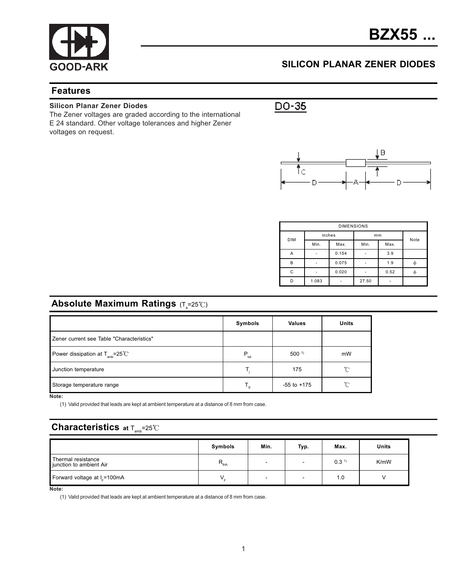

### SILICON PLANAR ZENER DIODES

#### Features

#### Silicon Planar Zener Diodes

The Zener voltages are graded according to the international E 24 standard. Other voltage tolerances and higher Zener voltages on request.

 $DO-35$ 



| <b>DIMENSIONS</b> |        |       |       |      |   |  |  |  |
|-------------------|--------|-------|-------|------|---|--|--|--|
| <b>DIM</b>        | inches |       | mm    | Note |   |  |  |  |
|                   | Min.   | Max.  | Min.  | Max. |   |  |  |  |
| Α                 |        | 0.154 |       | 3.9  |   |  |  |  |
| B                 | ٠      | 0.075 |       | 1.9  |   |  |  |  |
| C                 | ٠      | 0.020 |       | 0.52 | Ф |  |  |  |
| D                 | 1.083  |       | 27.50 |      |   |  |  |  |

## **Absolute Maximum Ratings** (T $_{\textrm{s}}$ =25℃)

|                                                      | Symbols       | <b>Values</b>    | Units |
|------------------------------------------------------|---------------|------------------|-------|
| Zener current see Table "Characteristics"            |               |                  |       |
| Power dissipation at $T_{\text{amb}} = 25^{\circ}$ C | $P_{\rm tot}$ | 500 <sup>1</sup> | mW    |
| Junction temperature                                 |               | 175              | °C    |
| Storage temperature range                            | Т.            | $-55$ to $+175$  | °C    |

Note:

(1) Valid provided that leads are kept at ambient temperature at a distance of 8 mm from case.

### **Characteristics** at  $T_{\text{max}}=25^{\circ}C$

|                                               | Symbols          | Min. | Typ. | Max.             | Units |
|-----------------------------------------------|------------------|------|------|------------------|-------|
| Thermal resistance<br>junction to ambient Air | $R_{\text{thA}}$ |      | -    | 0.3 <sup>1</sup> | K/mW  |
| Forward voltage at I <sub>-</sub> =100mA      |                  |      | -    | 1.0              |       |

Note:

(1) Valid provided that leads are kept at ambient temperature at a distance of 8 mm from case.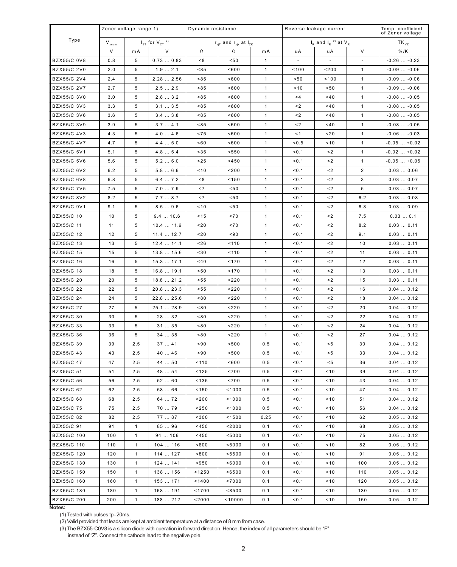|                    | Zener voltage range 1)                             |              |                                                                                                                       | Dynamic resistance |                                        |              | Reverse leakage current |            |                | Temp. coefficient<br>of Zener voltage |
|--------------------|----------------------------------------------------|--------------|-----------------------------------------------------------------------------------------------------------------------|--------------------|----------------------------------------|--------------|-------------------------|------------|----------------|---------------------------------------|
| Type               | $I_{z\tau}$ for $V_{z\tau}$ $^{2)}$<br>${\rm V_{z$ |              | $\mathsf{r}_{z\bar{\jmath}\bar{\imath}}$ and $\mathsf{r}_{z\bar{\jmath}\bar{\imath}}$ at $\mathsf{l}_{z\bar{\kappa}}$ |                    | $I_R$ and $I_R$ <sup>2)</sup> at $V_R$ |              |                         | $TK_{vz}$  |                |                                       |
|                    | V                                                  | mA           |                                                                                                                       | $\Omega$           | $\Omega$                               | m A          | uA                      | uA         | $\vee$         | $%$ /K                                |
| <b>BZX55/C 0V8</b> | 0.8                                                | 5            | 0.730.83                                                                                                              | < 8                | 50                                     | $\mathbf{1}$ |                         |            |                | $-0.26$ $-0.23$                       |
| BZX55/C 2V0        | 2.0                                                | 5            | 1.92.1                                                                                                                | <85                | ${}^{8600}$                            | $\mathbf{1}$ | 100                     | ${}^{200}$ | $\mathbf{1}$   | $-0.09 -0.06$                         |
| BZX55/C 2V4        | 2.4                                                | 5            | 2.28  2.56                                                                                                            | 85                 | ${}^{8600}$                            | $\mathbf{1}$ | 50                      | 100        | $\mathbf{1}$   | $-0.09 -0.06$                         |
| BZX55/C 2V7        | 2.7                                                | 5            | 2.52.9                                                                                                                | < 85               | ${}^{8600}$                            | $\mathbf{1}$ | < 10                    | 50         | $\mathbf{1}$   | $-0.09 -0.06$                         |
| <b>BZX55/C 3V0</b> | 3.0                                                | 5            | 2.83.2                                                                                                                | < 85               | ${}^{8600}$                            | $\mathbf{1}$ | < 4                     | <40        | $\mathbf{1}$   | $-0.08$ $-0.05$                       |
| BZX55/C 3V3        | 3.3                                                | 5            | 3.13.5                                                                                                                | < 85               | ${}^{8600}$                            | $\mathbf{1}$ | $\leq$ 2                | 40         | $\mathbf{1}$   | $-0.08$ $-0.05$                       |
| BZX55/C 3V6        | 3.6                                                | 5            | 3.43.8                                                                                                                | < 85               | ${}^{8600}$                            | $\mathbf{1}$ | $\leq$ 2                | 40         | $\mathbf{1}$   | $-0.08$ $-0.05$                       |
| BZX55/C 3V9        | 3.9                                                | 5            | 3.74.1                                                                                                                | < 85               | ${}^{8600}$                            | $\mathbf{1}$ | $\leq$ 2                | <40        | $\mathbf{1}$   | $-0.08$ $-0.05$                       |
| BZX55/C 4V3        | 4.3                                                | 5            | 4.04.6                                                                                                                | ~175               | 800                                    | $\mathbf{1}$ | < 1                     | ~120       | $\mathbf{1}$   | $-0.06$ $-0.03$                       |
| BZX55/C 4V7        | 4.7                                                | 5            | 4.45.0                                                                                                                | <60                | ${}^{8600}$                            | $\mathbf{1}$ | <0.5                    | < 10       | $\mathbf{1}$   | $-0.05+0.02$                          |
| BZX55/C 5V1        | 5.1                                                | 5            | 4.85.4                                                                                                                | < 35               | < 550                                  | $\mathbf{1}$ | 0.1                     | $\leq$ 2   | $\mathbf{1}$   | $-0.02+0.02$                          |
| <b>BZX55/C 5V6</b> | 5.6                                                | 5            | 5.26.0                                                                                                                | ~125               | < 450                                  | $\mathbf{1}$ | < 0.1                   | $\leq$ 2   | $\mathbf{1}$   | $-0.05+0.05$                          |
| BZX55/C 6V2        | 6.2                                                | 5            | 5.86.6                                                                                                                | < 10               | ${}^{200}$                             | $\mathbf{1}$ | 0.1                     | $\leq$ 2   | $\overline{2}$ | 0.030.06                              |
| <b>BZX55/C 6V8</b> | 6.8                                                | 5            | 6.47.2                                                                                                                | ≺8                 | 150                                    | $\mathbf{1}$ | 0.1                     | $\leq$ 2   | 3              | 0.030.07                              |
| <b>BZX55/C 7V5</b> | 7.5                                                | 5            | 7.07.9                                                                                                                | < 7                | 50                                     | $\mathbf{1}$ | 0.1                     | $\leq$ 2   | 5              | 0.030.07                              |
| BZX55/C 8V2        | 8.2                                                | 5            | 7.78.7                                                                                                                | ~1                 | 50                                     | $\mathbf{1}$ | < 0.1                   | $\leq$ 2   | 6.2            | 0.030.08                              |
| BZX55/C 9V1        | 9.1                                                | 5            | 8.59.6                                                                                                                | < 10               | 50                                     | $\mathbf{1}$ | 0.1                     | $\leq$ 2   | 6.8            | 0.030.09                              |
| BZX55/C 10         | 10                                                 | 5            | 9.410.6                                                                                                               | < 15               | ~10                                    | $\mathbf{1}$ | 0.1                     | $\leq$ 2   | 7.5            | 0.030.1                               |
| BZX55/C 11         | 11                                                 | 5            | 10.411.6                                                                                                              | ~120               | ~10                                    | $\mathbf{1}$ | 0.1                     | $\leq$ 2   | 8.2            | 0.030.11                              |
| BZX55/C 12         | 12                                                 | 5            | 11.412.7                                                                                                              | 20                 | ${}^{890}$                             | $\mathbf{1}$ | < 0.1                   | $\leq$ 2   | 9.1            | 0.030.11                              |
| BZX55/C 13         | 13                                                 | 5            | 12.414.1                                                                                                              | ~126               | 110                                    | $\mathbf{1}$ | 0.1                     | $\leq$ 2   | 10             | 0.030.11                              |
| BZX55/C 15         | 15                                                 | 5            | 13.8  15.6                                                                                                            | <30                | 110                                    | $\mathbf{1}$ | 0.1                     | $\leq$ 2   | 11             | 0.030.11                              |
| BZX55/C 16         | 16                                                 | 5            | 15.317.1                                                                                                              | 40                 | 170                                    | $\mathbf{1}$ | 0.1                     | $\leq$ 2   | 12             | 0.030.11                              |
| BZX55/C 18         | 18                                                 | 5            | 16.819.1                                                                                                              | 50                 | 170                                    | $\mathbf{1}$ | < 0.1                   | $\leq$ 2   | 13             | 0.030.11                              |
| BZX55/C 20         | 20                                                 | 5            | 18.821.2                                                                                                              | < 55               | < 220                                  | $\mathbf{1}$ | 0.1                     | $\leq$ 2   | 15             | 0.030.11                              |
| BZX55/C 22         | 22                                                 | 5            | 20.8  23.3                                                                                                            | < 55               | < 220                                  | $\mathbf{1}$ | 0.1                     | $\leq$ 2   | 16             | 0.040.12                              |
| BZX55/C 24         | 24                                                 | 5            | 22.8  25.6                                                                                                            | 80                 | < 220                                  | $\mathbf{1}$ | 0.1                     | $\leq$ 2   | 18             | 0.040.12                              |
| BZX55/C 27         | 27                                                 | 5            | 25.1  28.9                                                                                                            | 80                 | < 220                                  | $\mathbf{1}$ | < 0.1                   | $\leq$ 2   | 20             | 0.040.12                              |
| BZX55/C 30         | 30                                                 | 5            | 28  32                                                                                                                | 80                 | < 220                                  | $\mathbf{1}$ | < 0.1                   | $\leq$ 2   | 22             | 0.040.12                              |
| BZX55/C 33         | 33                                                 | 5            | 3135                                                                                                                  | 80                 | < 220                                  | $\mathbf{1}$ | < 0.1                   | $\leq$ 2   | 24             | 0.040.12                              |
| BZX55/C 36         | 36                                                 | 5            | 34  38                                                                                                                | 80                 | < 220                                  | $\mathbf{1}$ | < 0.1                   | $\leq$ 2   | 27             | 0.040.12                              |
| BZX55/C 39         | 39                                                 | 2.5          | 3741                                                                                                                  | ${}^{890}$         | ${}^{500}$                             | 0.5          | < 0.1                   | < 5        | 30             | 0.040.12                              |
| BZX55/C 43         | 43                                                 | 2.5          | 4046                                                                                                                  | ${}^{890}$         | ${}^{500}$                             | 0.5          | < 0.1                   | < 5        | 33             | 0.040.12                              |
| BZX55/C 47         | 47                                                 | 2.5          | 44  50                                                                                                                | 110                | ${}^{8600}$                            | 0.5          | < 0.1                   | < 5        | 36             | 0.040.12                              |
| BZX55/C 51         | 51                                                 | 2.5          | 48  54                                                                                                                | < 125              | ~1700                                  | 0.5          | < 0.1                   | < 10       | 39             | 0.040.12                              |
| BZX55/C 56         | 56                                                 | 2.5          | 5260                                                                                                                  | < 135              | ~1700                                  | 0.5          | < 0.1                   | < 10       | 43             | 0.040.12                              |
| BZX55/C 62         | 62                                                 | 2.5          | 58  66                                                                                                                | < 150              | 1000                                   | 0.5          | < 0.1                   | < 10       | 47             | 0.040.12                              |
| BZX55/C 68         | 68                                                 | 2.5          | 64  72                                                                                                                | < 200              | 1000                                   | 0.5          | < 0.1                   | < 10       | 51             | 0.040.12                              |
| BZX55/C 75         | 75                                                 | 2.5          | 70  79                                                                                                                | < 250              | 1000                                   | 0.5          | < 0.1                   | < 10       | 56             | 0.040.12                              |
| BZX55/C 82         | 82                                                 | 2.5          | 77  87                                                                                                                | 300                | 1500                                   | 0.25         | 50.1                    | <10        | 62             | 0.050.12                              |
| BZX55/C 91         | 91                                                 | $\mathbf{1}$ | 8596                                                                                                                  | < 450              | $2000$                                 | 0.1          | < 0.1                   | < 10       | 68             | 0.050.12                              |
| BZX55/C 100        | 100                                                | $\mathbf{1}$ | 94  106                                                                                                               | <450               | < 5000                                 | 0.1          | < 0.1                   | 10         | 75             | 0.050.12                              |
| BZX55/C 110        | 110                                                | $\mathbf{1}$ | 104  116                                                                                                              | ~1600              | < 5000                                 | 0.1          | < 0.1                   | 10         | 82             | 0.050.12                              |
| BZX55/C 120        | 120                                                | $\mathbf{1}$ | 114  127                                                                                                              | < 800              | < 5500                                 | 0.1          | < 0.1                   | 10         | 91             | 0.050.12                              |
| BZX55/C 130        | 130                                                | $\mathbf{1}$ | 124  141                                                                                                              | < 950              | <6000                                  | 0.1          | < 0.1                   | 10         | 100            | 0.050.12                              |
| BZX55/C 150        | 150                                                | $\mathbf{1}$ | 138  156                                                                                                              | < 1250             | <6500                                  | 0.1          | < 0.1                   | 10         | 110            | 0.050.12                              |
| BZX55/C 160        | 160                                                | $\mathbf{1}$ | 153  171                                                                                                              | 1400               | ~17000                                 | 0.1          | < 0.1                   | 10         | 120            | 0.050.12                              |
| BZX55/C 180        | 180                                                | $\mathbf{1}$ | 168  191                                                                                                              | 1700               | <8500                                  | 0.1          | < 0.1                   | 10         | 130            | 0.050.12                              |
| BZX55/C 200        | 200                                                | $\mathbf{1}$ | 188  212                                                                                                              | $2000$             | 10000                                  | 0.1          | < 0.1                   | 10         | 150            | 0.050.12                              |
| Notes:             |                                                    |              |                                                                                                                       |                    |                                        |              |                         |            |                |                                       |

ou.<br>(1) Tested with pulses tp=20ms.<br>(2) Valid provided that leads are kept at ambient temperature at a distance of 8 mm from case.

(3) The BZX55-C0V8 is a silicon diode with operation in forward direction. Hence, the index of all parameters should be "F"

instead of "Z". Connect the cathode lead to the negative pole.